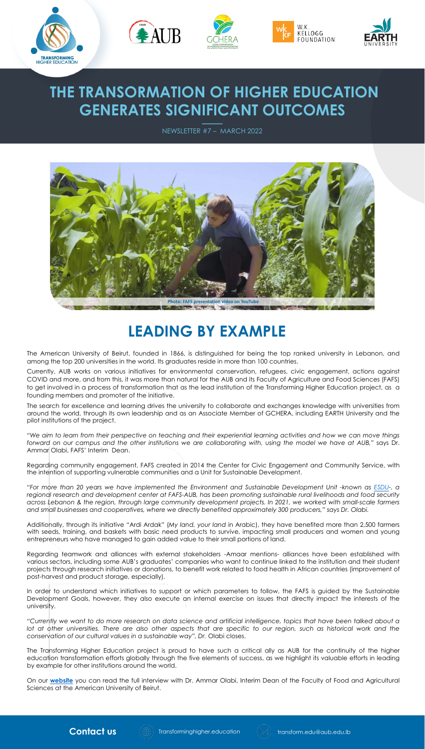









## **THE TRANSORMATION OF HIGHER EDUCATION GENERATES SIGNIFICANT OUTCOMES**

NEWSLETTER #7 – MARCH 2022



The American University of Beirut, founded in 1866, is distinguished for being the top ranked university in Lebanon, and among the top 200 universities in the world. Its graduates reside in more than 100 countries.

Currently, AUB works on various initiatives for environmental conservation, refugees, civic engagement, actions against COVID and more, and from this, it was more than natural for the AUB and its Faculty of Agriculture and Food Sciences (FAFS) to get involved in a process of transformation that as the lead institution of the Transforming Higher Education project, as a founding members and promoter of the initiative.

"We aim to learn from their perspective on teaching and their experiential learning activities and how we can move things forward on our campus and the other institutions we are collaborating with, using the model we have at AUB," says Dr. Ammar Olabi, FAFS' Interim Dean.

The search for excellence and learning drives the university to collaborate and exchanges knowledge with universities from around the world, through its own leadership and as an Associate Member of GCHERA, including EARTH University and the pilot institutions of the project.

"For more than 20 years we have implemented the Environment and Sustainable Development Unit -known as [ESDU](https://www.aub.edu.lb/fafs/esdu/Pages/default.aspx)-, a regional research and development center at FAFS-AUB, has been promoting sustainable rural livelihoods and food security across Lebanon & the region, through large community development projects. In 2021, we worked with small-scale farmers *and small businesses and cooperatives, where we directly benefited approximately 300 producers," says Dr. Olabi.*

Regarding community engagement, FAFS created in 2014 the Center for Civic Engagement and Community Service, with the intention of supporting vulnerable communities and a Unit for Sustainable Development.

"Currently we want to do more research on data science and artificial intelligence, topics that have been talked about a lot at other universities. There are also other aspects that are specific to our region, such as historical work and the *conservation of our cultural values in a sustainable way", Dr.* Olabi closes.

Additionally, through its initiative "Ardi Ardak" (*My land, your land* in Arabic), they have benefited more than 2,500 farmers with seeds, training, and baskets with basic need products to survive, impacting small producers and women and young entrepreneurs who have managed to gain added value to their small portions of land.

Regarding teamwork and alliances with external stakeholders -Amaar mentions- alliances have been established with various sectors, including some AUB's graduates' companies who want to continue linked to the institution and their student projects through research initiatives or donations, to benefit work related to food health in African countries (improvement of post-harvest and product storage, especially).

In order to understand which initiatives to support or which parameters to follow, the FAFS is guided by the Sustainable Development Goals, however, they also execute an internal exercise on issues that directly impact the interests of the university.

The Transforming Higher Education project is proud to have such a critical ally as AUB for the continuity of the higher education transformation efforts globally through the five elements of success, as we highlight its valuable efforts in leading by example for other institutions around the world.

On our **[website](https://transforminghigher.education/leading-by-example/)** you can read the full interview with Dr. Ammar Olabi, Interim Dean of the Faculty of Food and Agricultural Sciences at the American University of Beirut.







## **LEADING BY EXAMPLE**